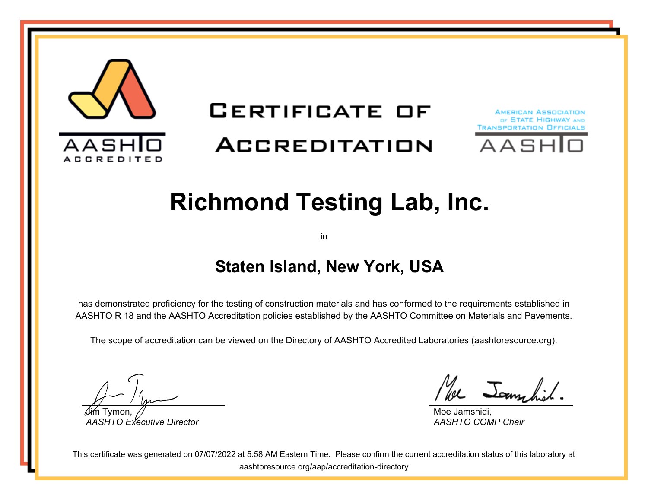

# **CERTIFICATE OF**

### **ACCREDITATION**





## **Richmond Testing Lab, Inc.**

in

#### **Staten Island, New York, USA**

has demonstrated proficiency for the testing of construction materials and has conformed to the requirements established in AASHTO R 18 and the AASHTO Accreditation policies established by the AASHTO Committee on Materials and Pavements.

The scope of accreditation can be viewed on the Directory of AASHTO Accredited Laboratories (aashtoresource.org).

Jim Tymon, *AASHTO Executive Director*

We Jammhit

Moe Jamshidi, *AASHTO COMP Chair*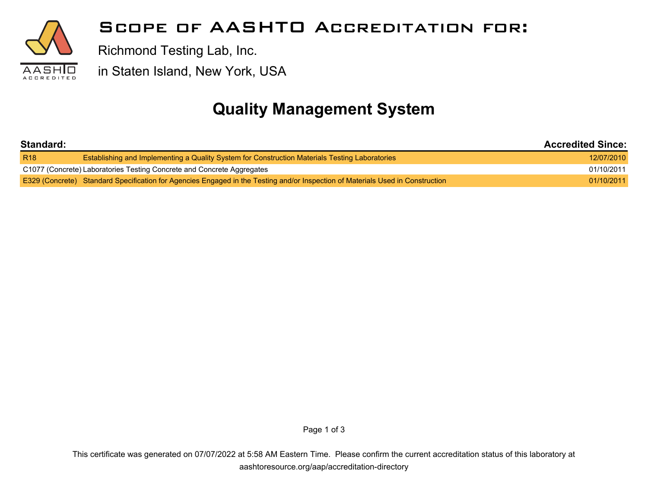

#### **Scope of AASHTO Accreditation for:**

Richmond Testing Lab, Inc.

in Staten Island, New York, USA

#### **Quality Management System**

| Standard:                                                              |                                                                                                                                | <b>Accredited Since:</b> |
|------------------------------------------------------------------------|--------------------------------------------------------------------------------------------------------------------------------|--------------------------|
| R <sub>18</sub>                                                        | <b>Establishing and Implementing a Quality System for Construction Materials Testing Laboratories</b>                          | 12/07/2010               |
| C1077 (Concrete) Laboratories Testing Concrete and Concrete Aggregates |                                                                                                                                | 01/10/2011               |
|                                                                        | E329 (Concrete) Standard Specification for Agencies Engaged in the Testing and/or Inspection of Materials Used in Construction | 01/10/2011               |

Page 1 of 3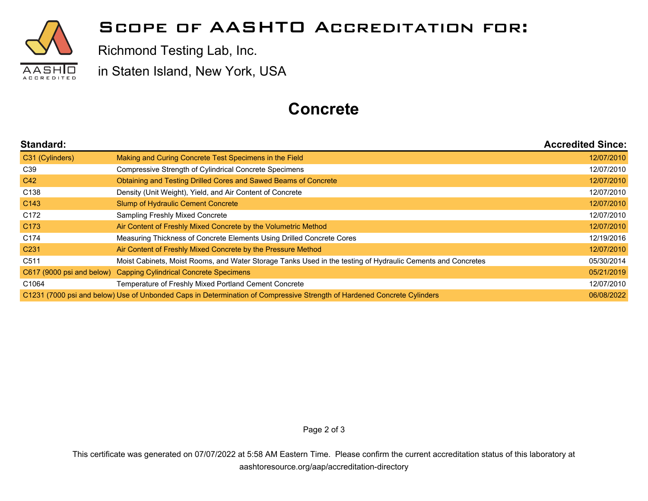

#### **Scope of AASHTO Accreditation for:**

Richmond Testing Lab, Inc.

in Staten Island, New York, USA

#### **Concrete**

| Standard:                                                                                                               |                                                                                                             | <b>Accredited Since:</b> |
|-------------------------------------------------------------------------------------------------------------------------|-------------------------------------------------------------------------------------------------------------|--------------------------|
| C31 (Cylinders)                                                                                                         | Making and Curing Concrete Test Specimens in the Field                                                      | 12/07/2010               |
| C <sub>39</sub>                                                                                                         | Compressive Strength of Cylindrical Concrete Specimens                                                      | 12/07/2010               |
| C42                                                                                                                     | Obtaining and Testing Drilled Cores and Sawed Beams of Concrete                                             | 12/07/2010               |
| C <sub>138</sub>                                                                                                        | Density (Unit Weight), Yield, and Air Content of Concrete                                                   | 12/07/2010               |
| C <sub>143</sub>                                                                                                        | <b>Slump of Hydraulic Cement Concrete</b>                                                                   | 12/07/2010               |
| C172                                                                                                                    | Sampling Freshly Mixed Concrete                                                                             | 12/07/2010               |
| C <sub>173</sub>                                                                                                        | Air Content of Freshly Mixed Concrete by the Volumetric Method                                              | 12/07/2010               |
| C <sub>174</sub>                                                                                                        | Measuring Thickness of Concrete Elements Using Drilled Concrete Cores                                       | 12/19/2016               |
| C <sub>231</sub>                                                                                                        | Air Content of Freshly Mixed Concrete by the Pressure Method                                                | 12/07/2010               |
| C <sub>511</sub>                                                                                                        | Moist Cabinets, Moist Rooms, and Water Storage Tanks Used in the testing of Hydraulic Cements and Concretes | 05/30/2014               |
| C617 (9000 psi and below)                                                                                               | <b>Capping Cylindrical Concrete Specimens</b>                                                               | 05/21/2019               |
| C1064                                                                                                                   | Temperature of Freshly Mixed Portland Cement Concrete                                                       | 12/07/2010               |
| C1231 (7000 psi and below) Use of Unbonded Caps in Determination of Compressive Strength of Hardened Concrete Cylinders |                                                                                                             | 06/08/2022               |

Page 2 of 3